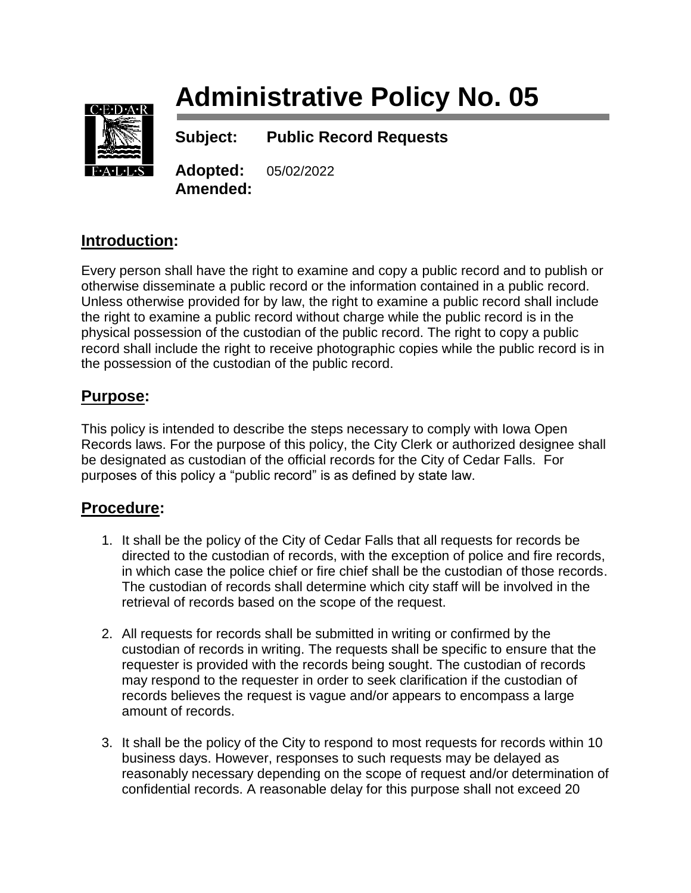# **Administrative Policy No. 05**



**Subject: Public Record Requests**

**Adopted:** 05/02/2022 **Amended:**

## **Introduction:**

Every person shall have the right to examine and copy a public record and to publish or otherwise disseminate a public record or the information contained in a public record. Unless otherwise provided for by law, the right to examine a public record shall include the right to examine a public record without charge while the public record is in the physical possession of the custodian of the public record. The right to copy a public record shall include the right to receive photographic copies while the public record is in the possession of the custodian of the public record.

### **Purpose:**

This policy is intended to describe the steps necessary to comply with Iowa Open Records laws. For the purpose of this policy, the City Clerk or authorized designee shall be designated as custodian of the official records for the City of Cedar Falls. For purposes of this policy a "public record" is as defined by state law.

### **Procedure:**

- 1. It shall be the policy of the City of Cedar Falls that all requests for records be directed to the custodian of records, with the exception of police and fire records, in which case the police chief or fire chief shall be the custodian of those records. The custodian of records shall determine which city staff will be involved in the retrieval of records based on the scope of the request.
- 2. All requests for records shall be submitted in writing or confirmed by the custodian of records in writing. The requests shall be specific to ensure that the requester is provided with the records being sought. The custodian of records may respond to the requester in order to seek clarification if the custodian of records believes the request is vague and/or appears to encompass a large amount of records.
- 3. It shall be the policy of the City to respond to most requests for records within 10 business days. However, responses to such requests may be delayed as reasonably necessary depending on the scope of request and/or determination of confidential records. A reasonable delay for this purpose shall not exceed 20